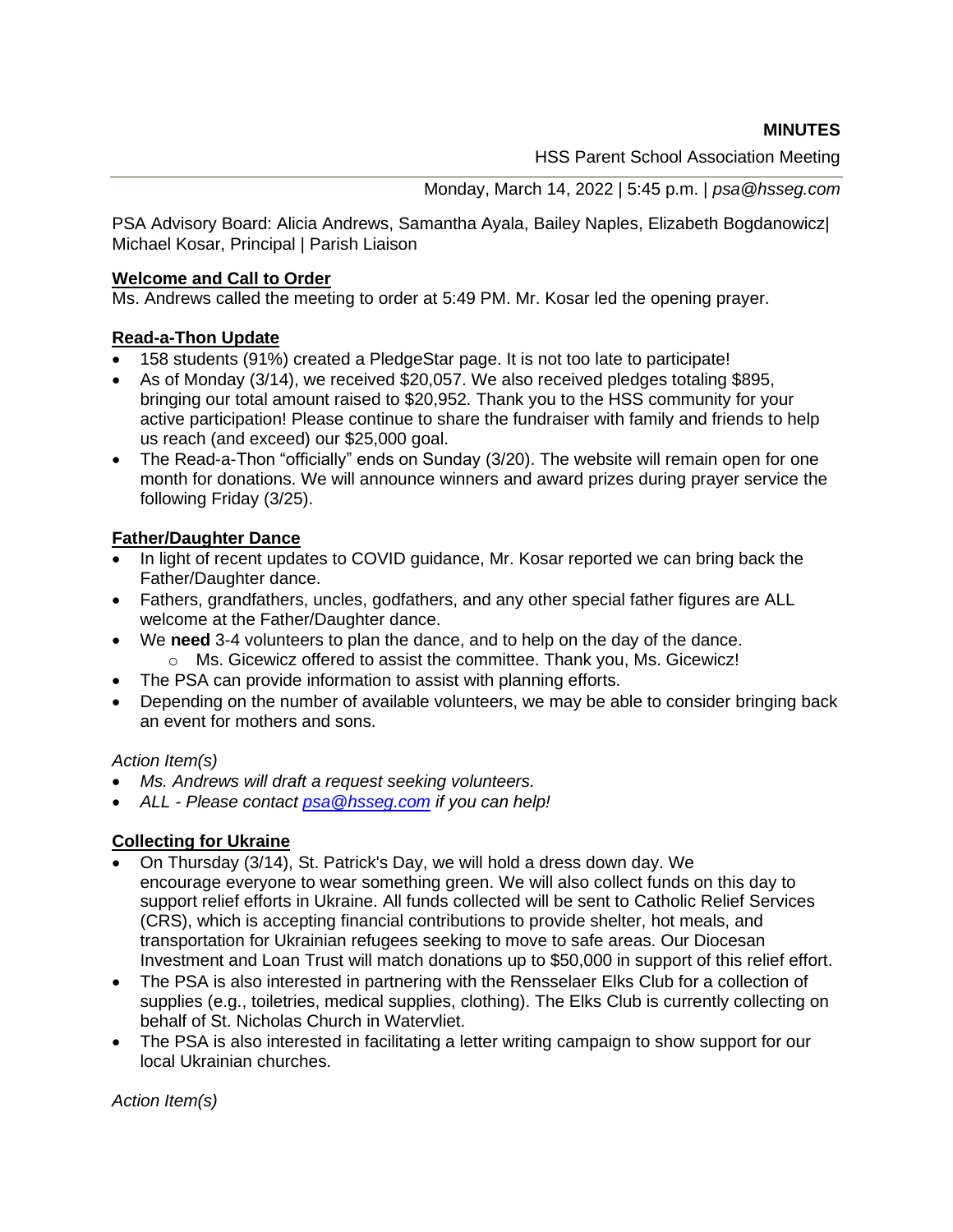**MINUTES**

HSS Parent School Association Meeting

Monday, March 14, 2022 | 5:45 p.m. | *psa@hsseg.com*

PSA Advisory Board: Alicia Andrews, Samantha Ayala, Bailey Naples, Elizabeth Bogdanowicz| Michael Kosar, Principal | Parish Liaison

### **Welcome and Call to Order**

Ms. Andrews called the meeting to order at 5:49 PM. Mr. Kosar led the opening prayer.

## **Read-a-Thon Update**

- 158 students (91%) created a PledgeStar page. It is not too late to participate!
- As of Monday (3/14), we received \$20,057. We also received pledges totaling \$895, bringing our total amount raised to \$20,952. Thank you to the HSS community for your active participation! Please continue to share the fundraiser with family and friends to help us reach (and exceed) our \$25,000 goal.
- The Read-a-Thon "officially" ends on Sunday (3/20). The website will remain open for one month for donations. We will announce winners and award prizes during prayer service the following Friday (3/25).

# **Father/Daughter Dance**

- In light of recent updates to COVID guidance, Mr. Kosar reported we can bring back the Father/Daughter dance.
- Fathers, grandfathers, uncles, godfathers, and any other special father figures are ALL welcome at the Father/Daughter dance.
- We **need** 3-4 volunteers to plan the dance, and to help on the day of the dance. o Ms. Gicewicz offered to assist the committee. Thank you, Ms. Gicewicz!
- The PSA can provide information to assist with planning efforts.
- Depending on the number of available volunteers, we may be able to consider bringing back an event for mothers and sons.

## *Action Item(s)*

- *Ms. Andrews will draft a request seeking volunteers.*
- *ALL - Please contact [psa@hsseg.com](mailto:psa@hsseg.com) if you can help!*

## **Collecting for Ukraine**

- On Thursday (3/14), St. Patrick's Day, we will hold a dress down day. We encourage everyone to wear something green. We will also collect funds on this day to support relief efforts in Ukraine. All funds collected will be sent to Catholic Relief Services (CRS), which is accepting financial contributions to provide shelter, hot meals, and transportation for Ukrainian refugees seeking to move to safe areas. Our Diocesan Investment and Loan Trust will match donations up to \$50,000 in support of this relief effort.
- The PSA is also interested in partnering with the Rensselaer Elks Club for a collection of supplies (e.g., toiletries, medical supplies, clothing). The Elks Club is currently collecting on behalf of St. Nicholas Church in Watervliet.
- The PSA is also interested in facilitating a letter writing campaign to show support for our local Ukrainian churches.

*Action Item(s)*